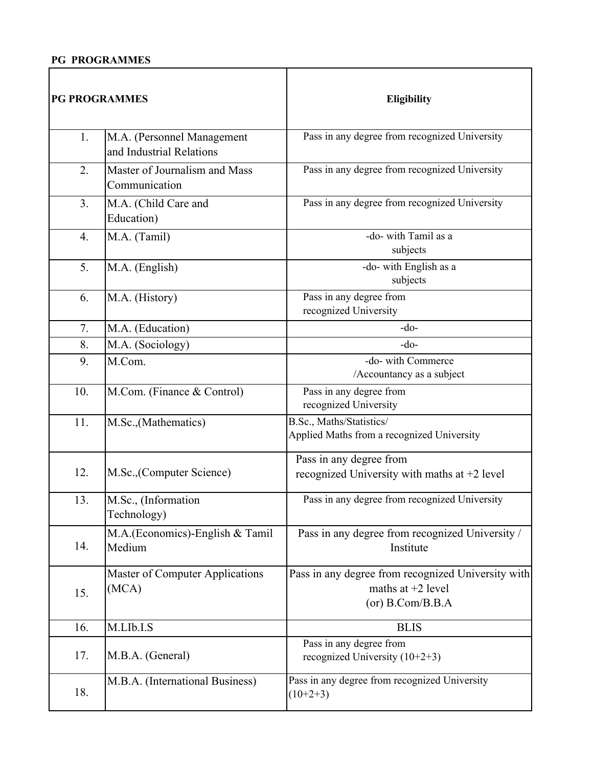## **PG PROGRAMMES**

| <b>PG PROGRAMMES</b> |                                                        | Eligibility                                                                                   |
|----------------------|--------------------------------------------------------|-----------------------------------------------------------------------------------------------|
| 1.                   | M.A. (Personnel Management<br>and Industrial Relations | Pass in any degree from recognized University                                                 |
| 2.                   | Master of Journalism and Mass<br>Communication         | Pass in any degree from recognized University                                                 |
| 3 <sub>1</sub>       | M.A. (Child Care and<br>Education)                     | Pass in any degree from recognized University                                                 |
| 4.                   | M.A. (Tamil)                                           | -do- with Tamil as a<br>subjects                                                              |
| 5.                   | M.A. (English)                                         | -do- with English as a<br>subjects                                                            |
| 6.                   | M.A. (History)                                         | Pass in any degree from<br>recognized University                                              |
| 7.                   | M.A. (Education)                                       | $-do-$                                                                                        |
| 8.                   | M.A. (Sociology)                                       | $-do-$                                                                                        |
| 9.                   | M.Com.                                                 | -do- with Commerce<br>/Accountancy as a subject                                               |
| 10.                  | M.Com. (Finance & Control)                             | Pass in any degree from<br>recognized University                                              |
| 11.                  | M.Sc., (Mathematics)                                   | B.Sc., Maths/Statistics/<br>Applied Maths from a recognized University                        |
| 12.                  | M.Sc., (Computer Science)                              | Pass in any degree from<br>recognized University with maths at +2 level                       |
| 13.                  | M.Sc., (Information<br>Technology)                     | Pass in any degree from recognized University                                                 |
| 14.                  | M.A. (Economics)-English & Tamil<br>Medium             | Pass in any degree from recognized University /<br>Institute                                  |
| 15.                  | <b>Master of Computer Applications</b><br>(MCA)        | Pass in any degree from recognized University with<br>maths at $+2$ level<br>(or) B.Com/B.B.A |
| 16.                  | M.LIb.I.S                                              | <b>BLIS</b>                                                                                   |
| 17.                  | M.B.A. (General)                                       | Pass in any degree from<br>recognized University $(10+2+3)$                                   |
| 18.                  | M.B.A. (International Business)                        | Pass in any degree from recognized University<br>$(10+2+3)$                                   |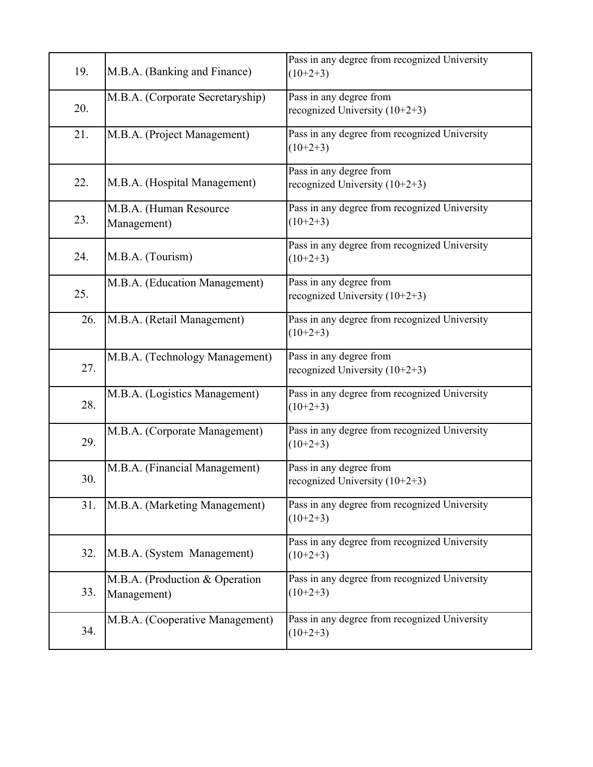| 19. | M.B.A. (Banking and Finance)                  | Pass in any degree from recognized University<br>$(10+2+3)$ |
|-----|-----------------------------------------------|-------------------------------------------------------------|
| 20. | M.B.A. (Corporate Secretaryship)              | Pass in any degree from<br>recognized University $(10+2+3)$ |
| 21. | M.B.A. (Project Management)                   | Pass in any degree from recognized University<br>$(10+2+3)$ |
| 22. | M.B.A. (Hospital Management)                  | Pass in any degree from<br>recognized University $(10+2+3)$ |
| 23. | M.B.A. (Human Resource<br>Management)         | Pass in any degree from recognized University<br>$(10+2+3)$ |
| 24. | M.B.A. (Tourism)                              | Pass in any degree from recognized University<br>$(10+2+3)$ |
| 25. | M.B.A. (Education Management)                 | Pass in any degree from<br>recognized University $(10+2+3)$ |
| 26. | M.B.A. (Retail Management)                    | Pass in any degree from recognized University<br>$(10+2+3)$ |
| 27. | M.B.A. (Technology Management)                | Pass in any degree from<br>recognized University $(10+2+3)$ |
| 28. | M.B.A. (Logistics Management)                 | Pass in any degree from recognized University<br>$(10+2+3)$ |
| 29. | M.B.A. (Corporate Management)                 | Pass in any degree from recognized University<br>$(10+2+3)$ |
| 30. | M.B.A. (Financial Management)                 | Pass in any degree from<br>recognized University $(10+2+3)$ |
| 31. | M.B.A. (Marketing Management)                 | Pass in any degree from recognized University<br>$(10+2+3)$ |
| 32. | M.B.A. (System Management)                    | Pass in any degree from recognized University<br>$(10+2+3)$ |
| 33. | M.B.A. (Production & Operation<br>Management) | Pass in any degree from recognized University<br>$(10+2+3)$ |
| 34. | M.B.A. (Cooperative Management)               | Pass in any degree from recognized University<br>$(10+2+3)$ |